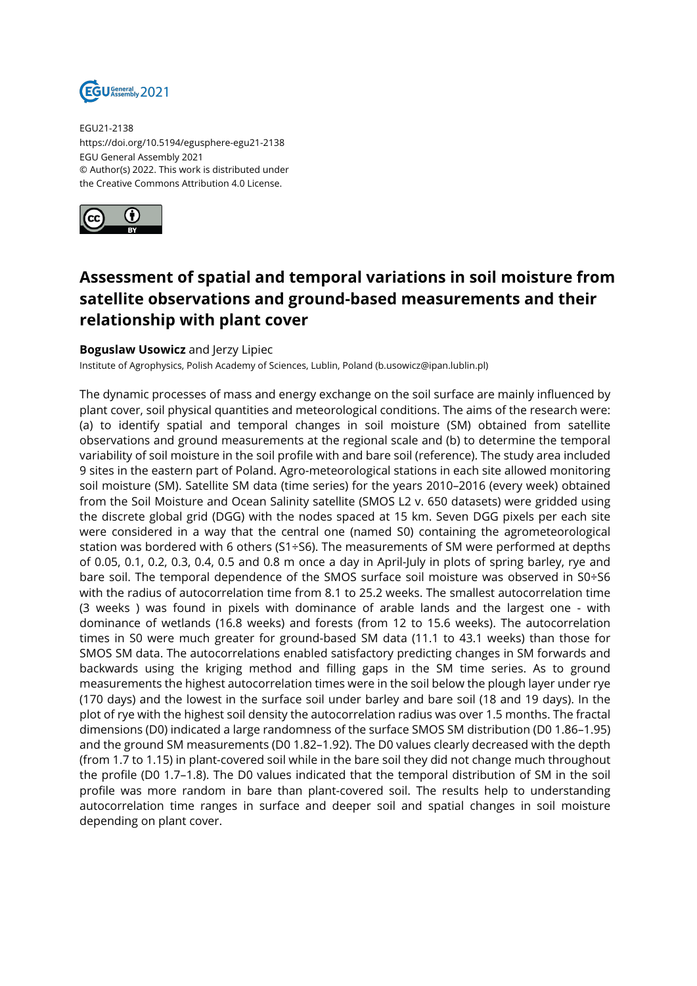

EGU21-2138 https://doi.org/10.5194/egusphere-egu21-2138 EGU General Assembly 2021 © Author(s) 2022. This work is distributed under the Creative Commons Attribution 4.0 License.



## **Assessment of spatial and temporal variations in soil moisture from satellite observations and ground-based measurements and their relationship with plant cover**

## **Boguslaw Usowicz** and Jerzy Lipiec

Institute of Agrophysics, Polish Academy of Sciences, Lublin, Poland (b.usowicz@ipan.lublin.pl)

The dynamic processes of mass and energy exchange on the soil surface are mainly influenced by plant cover, soil physical quantities and meteorological conditions. The aims of the research were: (a) to identify spatial and temporal changes in soil moisture (SM) obtained from satellite observations and ground measurements at the regional scale and (b) to determine the temporal variability of soil moisture in the soil profile with and bare soil (reference). The study area included 9 sites in the eastern part of Poland. Agro-meteorological stations in each site allowed monitoring soil moisture (SM). Satellite SM data (time series) for the years 2010–2016 (every week) obtained from the Soil Moisture and Ocean Salinity satellite (SMOS L2 v. 650 datasets) were gridded using the discrete global grid (DGG) with the nodes spaced at 15 km. Seven DGG pixels per each site were considered in a way that the central one (named S0) containing the agrometeorological station was bordered with 6 others (S1÷S6). The measurements of SM were performed at depths of 0.05, 0.1, 0.2, 0.3, 0.4, 0.5 and 0.8 m once a day in April-July in plots of spring barley, rye and bare soil. The temporal dependence of the SMOS surface soil moisture was observed in S0÷S6 with the radius of autocorrelation time from 8.1 to 25.2 weeks. The smallest autocorrelation time (3 weeks ) was found in pixels with dominance of arable lands and the largest one - with dominance of wetlands (16.8 weeks) and forests (from 12 to 15.6 weeks). The autocorrelation times in S0 were much greater for ground-based SM data (11.1 to 43.1 weeks) than those for SMOS SM data. The autocorrelations enabled satisfactory predicting changes in SM forwards and backwards using the kriging method and filling gaps in the SM time series. As to ground measurements the highest autocorrelation times were in the soil below the plough layer under rye (170 days) and the lowest in the surface soil under barley and bare soil (18 and 19 days). In the plot of rye with the highest soil density the autocorrelation radius was over 1.5 months. The fractal dimensions (D0) indicated a large randomness of the surface SMOS SM distribution (D0 1.86–1.95) and the ground SM measurements (D0 1.82–1.92). The D0 values clearly decreased with the depth (from 1.7 to 1.15) in plant-covered soil while in the bare soil they did not change much throughout the profile (D0 1.7–1.8). The D0 values indicated that the temporal distribution of SM in the soil profile was more random in bare than plant-covered soil. The results help to understanding autocorrelation time ranges in surface and deeper soil and spatial changes in soil moisture depending on plant cover.